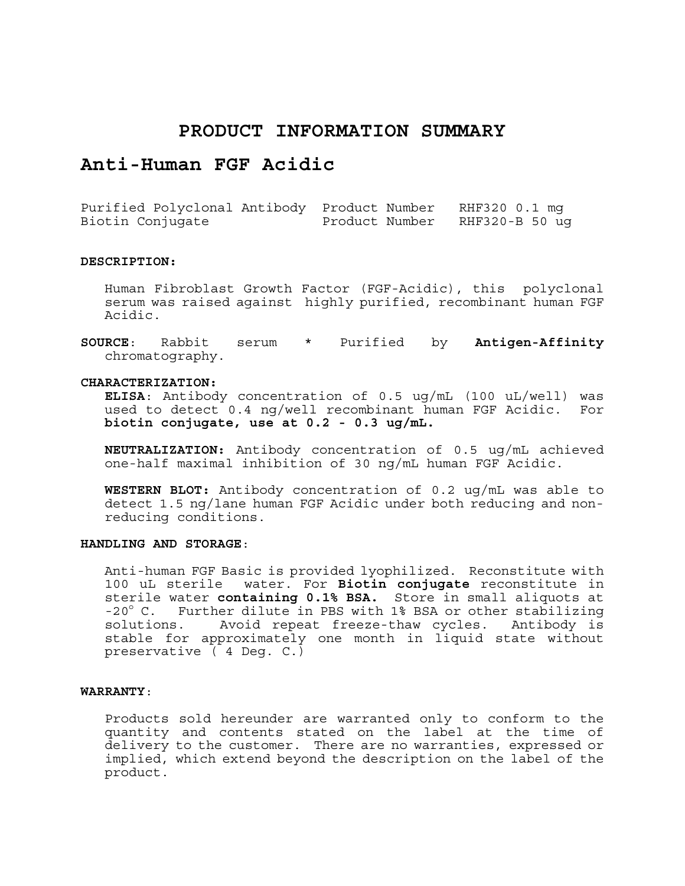## **PRODUCT INFORMATION SUMMARY**

# **Anti-Human FGF Acidic**

Purified Polyclonal Antibody Product Number RHF320 0.1 mg Biotin Conjugate Product Number RHF320-B 50 ug

#### **DESCRIPTION:**

Human Fibroblast Growth Factor (FGF-Acidic), this polyclonal serum was raised against highly purified, recombinant human FGF Acidic.

**SOURCE**: Rabbit serum \* Purified by **Antigen-Affinity** chromatography.

#### **CHARACTERIZATION:**

**ELISA**: Antibody concentration of 0.5 ug/mL (100 uL/well) was used to detect 0.4 ng/well recombinant human FGF Acidic. For **biotin conjugate, use at 0.2 - 0.3 ug/mL.** 

**NEUTRALIZATION:** Antibody concentration of 0.5 ug/mL achieved one-half maximal inhibition of 30 ng/mL human FGF Acidic.

**WESTERN BLOT:** Antibody concentration of 0.2 ug/mL was able to detect 1.5 ng/lane human FGF Acidic under both reducing and nonreducing conditions.

#### **HANDLING AND STORAGE**:

Anti-human FGF Basic is provided lyophilized. Reconstitute with 100 uL sterile water. For **Biotin conjugate** reconstitute in sterile water **containing 0.1% BSA.** Store in small aliquots at -20° C. Further dilute in PBS with 1% BSA or other stabilizing solutions. Avoid repeat freeze-thaw cycles. Antibody is stable for approximately one month in liquid state without preservative ( 4 Deg. C.)

#### **WARRANTY**:

Products sold hereunder are warranted only to conform to the quantity and contents stated on the label at the time of delivery to the customer. There are no warranties, expressed or implied, which extend beyond the description on the label of the product.